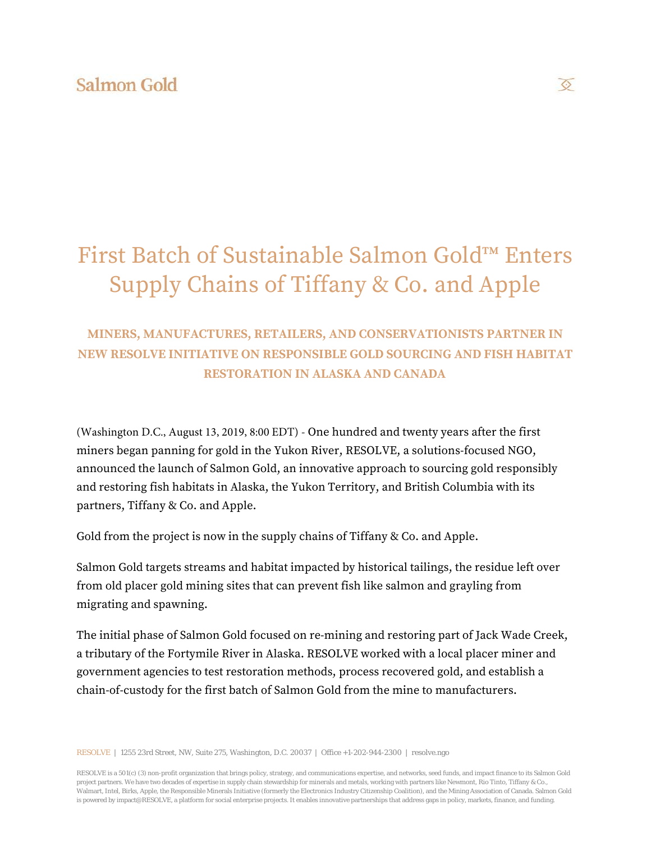# First Batch of Sustainable Salmon Gold™ Enters Supply Chains of Tiffany & Co. and Apple

### **MINERS, MANUFACTURES, RETAILERS, AND CONSERVATIONISTS PARTNER IN NEW RESOLVE INITIATIVE ON RESPONSIBLE GOLD SOURCING AND FISH HABITAT RESTORATION IN ALASKA AND CANADA**

(Washington D.C., August 13, 2019, 8:00 EDT) - One hundred and twenty years after the first miners began panning for gold in the Yukon River, RESOLVE, a solutions-focused NGO, announced the launch of Salmon Gold, an innovative approach to sourcing gold responsibly and restoring fish habitats in Alaska, the Yukon Territory, and British Columbia with its partners, Tiffany & Co. and Apple.

Gold from the project is now in the supply chains of Tiffany & Co. and Apple.

Salmon Gold targets streams and habitat impacted by historical tailings, the residue left over from old placer gold mining sites that can prevent fish like salmon and grayling from migrating and spawning.

The initial phase of Salmon Gold focused on re-mining and restoring part of Jack Wade Creek, a tributary of the Fortymile River in Alaska. RESOLVE worked with a local placer miner and government agencies to test restoration methods, process recovered gold, and establish a chain-of-custody for the first batch of Salmon Gold from the mine to manufacturers.

RESOLVE | 1255 23rd Street, NW, Suite 275, Washington, D.C. 20037 | Office +1-202-944-2300 | resolve.ngo

RESOLVE is a 501(c) (3) non-profit organization that brings policy, strategy, and communications expertise, and networks, seed funds, and impact finance to its Salmon Gold project partners. We have two decades of expertise in supply chain stewardship for minerals and metals, working with partners like Newmont, Rio Tinto, Tiffany & Co., Walmart, Intel, Birks, Apple, the Responsible Minerals Initiative (formerly the Electronics Industry Citizenship Coalition), and the Mining Association of Canada. Salmon Gold is powered by impact@RESOLVE, a platform for social enterprise projects. It enables innovative partnerships that address gaps in policy, markets, finance, and funding.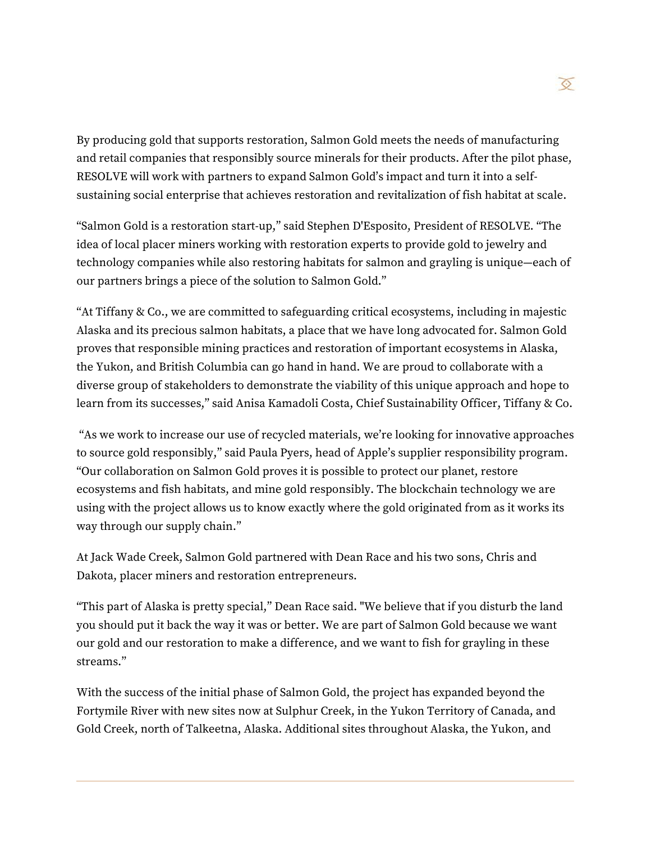By producing gold that supports restoration, Salmon Gold meets the needs of manufacturing and retail companies that responsibly source minerals for their products. After the pilot phase, RESOLVE will work with partners to expand Salmon Gold's impact and turn it into a selfsustaining social enterprise that achieves restoration and revitalization of fish habitat at scale.

"Salmon Gold is a restoration start-up," said Stephen D'Esposito, President of RESOLVE. "The idea of local placer miners working with restoration experts to provide gold to jewelry and technology companies while also restoring habitats for salmon and grayling is unique—each of our partners brings a piece of the solution to Salmon Gold."

"At Tiffany & Co., we are committed to safeguarding critical ecosystems, including in majestic Alaska and its precious salmon habitats, a place that we have long advocated for. Salmon Gold proves that responsible mining practices and restoration of important ecosystems in Alaska, the Yukon, and British Columbia can go hand in hand. We are proud to collaborate with a diverse group of stakeholders to demonstrate the viability of this unique approach and hope to learn from its successes," said Anisa Kamadoli Costa, Chief Sustainability Officer, Tiffany & Co.

"As we work to increase our use of recycled materials, we're looking for innovative approaches to source gold responsibly," said Paula Pyers, head of Apple's supplier responsibility program. "Our collaboration on Salmon Gold proves it is possible to protect our planet, restore ecosystems and fish habitats, and mine gold responsibly. The blockchain technology we are using with the project allows us to know exactly where the gold originated from as it works its way through our supply chain."

At Jack Wade Creek, Salmon Gold partnered with Dean Race and his two sons, Chris and Dakota, placer miners and restoration entrepreneurs.

"This part of Alaska is pretty special," Dean Race said. "We believe that if you disturb the land you should put it back the way it was or better. We are part of Salmon Gold because we want our gold and our restoration to make a difference, and we want to fish for grayling in these streams."

With the success of the initial phase of Salmon Gold, the project has expanded beyond the Fortymile River with new sites now at Sulphur Creek, in the Yukon Territory of Canada, and Gold Creek, north of Talkeetna, Alaska. Additional sites throughout Alaska, the Yukon, and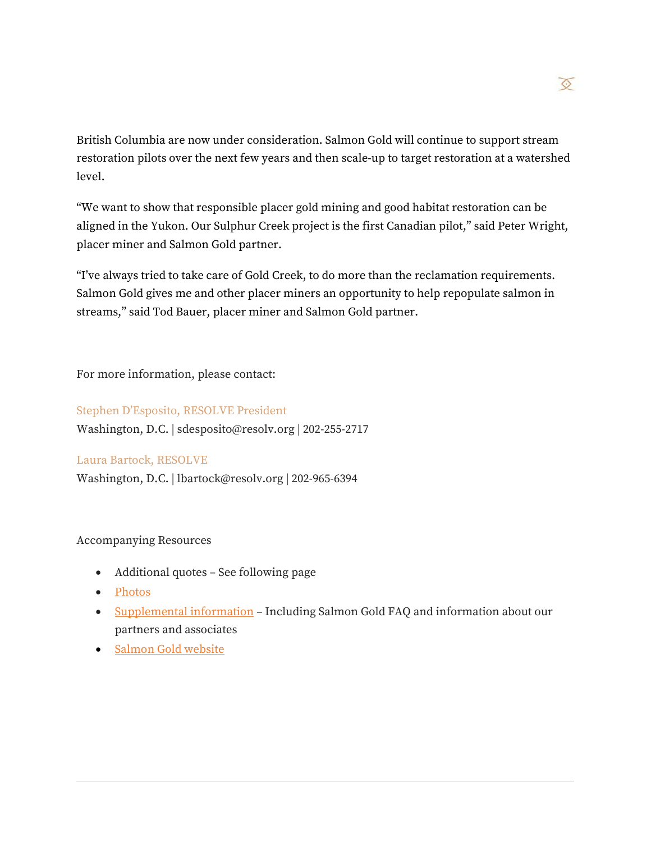

British Columbia are now under consideration. Salmon Gold will continue to support stream restoration pilots over the next few years and then scale-up to target restoration at a watershed level.

"We want to show that responsible placer gold mining and good habitat restoration can be aligned in the Yukon. Our Sulphur Creek project is the first Canadian pilot," said Peter Wright, placer miner and Salmon Gold partner.

"I've always tried to take care of Gold Creek, to do more than the reclamation requirements. Salmon Gold gives me and other placer miners an opportunity to help repopulate salmon in streams," said Tod Bauer, placer miner and Salmon Gold partner.

For more information, please contact:

#### Stephen D'Esposito, RESOLVE President

Washington, D.C. | sdesposito@resolv.org | 202-255-2717

#### Laura Bartock, RESOLVE

Washington, D.C. | lbartock@resolv.org | 202-965-6394

#### Accompanying Resources

- Additional quotes See following page
- [Photos](https://www.dropbox.com/sh/j34h4g2ykxzl18w/AACMZhSMVX-DJWsRDu84MRAYa?dl=0)
- [Supplemental information](https://www.resolve.ngo/docs/salmon_gold_supplemental_information.pdf) Including Salmon Gold FAQ and information about our partners and associates
- [Salmon Gold website](https://www.resolve.ngo/salmon_gold.htm)